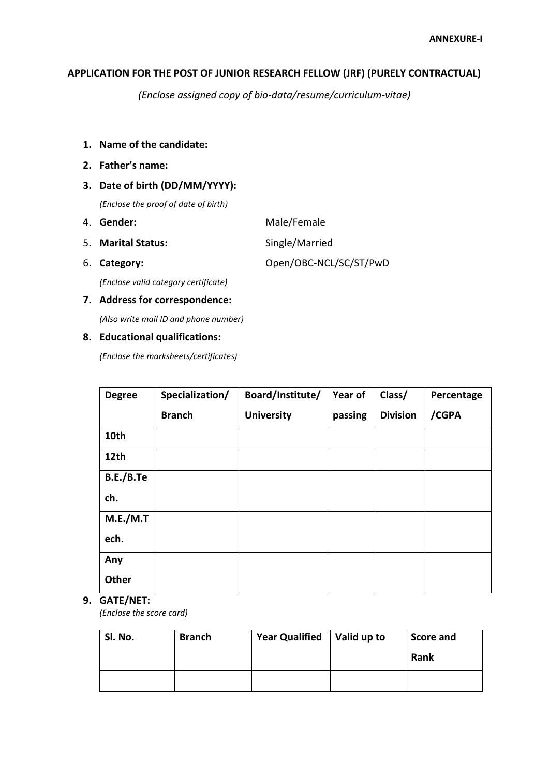## **APPLICATION FOR THE POST OF JUNIOR RESEARCH FELLOW (JRF) (PURELY CONTRACTUAL)**

*(Enclose assigned copy of bio-data/resume/curriculum-vitae)*

- **1. Name of the candidate:**
- **2. Father's name:**

## **3. Date of birth (DD/MM/YYYY):**

*(Enclose the proof of date of birth)*

- 4. **Gender:** Male/Female
- 5. **Marital Status:** Single/Married
- 

6. **Category:** Open/OBC-NCL/SC/ST/PwD

*(Enclose valid category certificate)*

#### **7. Address for correspondence:**

*(Also write mail ID and phone number)*

#### **8. Educational qualifications:**

*(Enclose the marksheets/certificates)*

| <b>Degree</b> | Specialization/ | Board/Institute/  | Year of | Class/          | Percentage |
|---------------|-----------------|-------------------|---------|-----------------|------------|
|               | <b>Branch</b>   | <b>University</b> | passing | <b>Division</b> | /CGPA      |
| 10th          |                 |                   |         |                 |            |
| 12th          |                 |                   |         |                 |            |
| B.E./B.Te     |                 |                   |         |                 |            |
| ch.           |                 |                   |         |                 |            |
| M.E./M.T      |                 |                   |         |                 |            |
| ech.          |                 |                   |         |                 |            |
| Any           |                 |                   |         |                 |            |
| <b>Other</b>  |                 |                   |         |                 |            |

#### **9. GATE/NET:**

*(Enclose the score card)*

| Sl. No. | <b>Branch</b> | Year Qualified   Valid up to | <b>Score and</b> |
|---------|---------------|------------------------------|------------------|
|         |               |                              | Rank             |
|         |               |                              |                  |